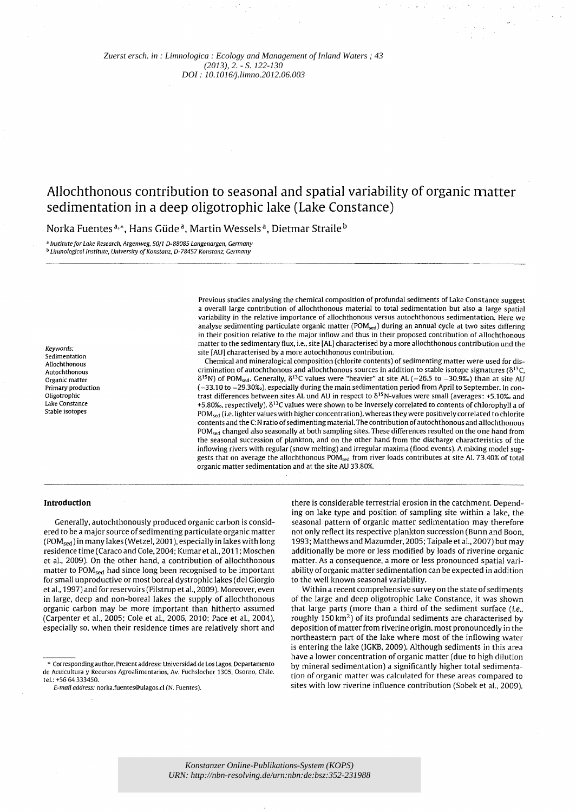*[Zuerst ersch. in : Limnologica : Ecology and Management of Inland Waters ; 43](http://www.sciencedirect.com/science/journal/00759511)  (2013), 2. - S. 122-130 DOI : 10.1016/j.limno.2012.06.003*

# **Allochthonous contribution to seasonal and spatial variability of organic matter sedimentation in a deep oligotrophic lake (Lake Constance)**

Norka Fuentes<sup>a,\*</sup>, Hans Güde<sup>a</sup>, Martin Wessels<sup>a</sup>. Dietmar Straile<sup>b</sup>

*, Institute for Lake Research. Argenweg. 50/1 D-88085 Langenargen. Germany*  **b** Limnological Institute, University of Konstanz, D-78457 Konstanz, Germany

> a overall large contribution of allochthonous material to total sedimentation but also a large spatial variability in the relative importance of allochthonous versus autochthonous sedimentation. Here we analyse sedimenting particulate organic matter (POM<sub>sed</sub>) during an annual cycle at two sites differing in their position relative to the major inflow and thus in their proposed contribution of allochthonous matter to the sedimentary flux, i.e., site [AL] characterised by a more allochthonous contribution und the site [AV] characterised by a more autochthonous contribution. Chemical and mineralogical composition (chlorite contents) of sedimenting matter were used for dis-

Previous studies analysing the chemical composition of profundal sediments of Lake Constance suggest

crimination of autochthonous and allochthonous sources in addition to stable isotope signatures ( $\delta^{13}C$ .  $\delta^{15}$ N) of POM<sub>sed</sub>. Generally,  $\delta^{13}$ C values were "heavier" at site AL (-26.5 to -30.9%) than at site AU (-33.10 to -29.30%), especially during the main sedimentation period from April to September. In contrast differences between sites AL und AU in respect to  $\delta^{15}$ N-values were small (averages: +5.10%) and +5.80‰, respectively). δ<sup>13</sup>C values were shown to be inversely correlated to contents of chlorophyll a of POM<sub>sed</sub> (i.e. lighter values with higher concentration), whereas they were positively correlated to chlorite contents and the C:N ratio of sedimenting material. The contribution of autochthonous and allochthonous POMsed changed also seasonally at both sampling sites. These differences resulted on the one hand from the seasonal succession of plankton. and on the other hand from the discharge characteristics of the inflowing rivers with regular (snow melting) and irregular maxima (flood events). A mixing model suggests that on average the allochthonous POM<sub>sed</sub> from river loads contributes at site AL 73.40% of total organic matter sedimentation and at the site AV 33.80%.

#### **Introduction**

*Keywords:*  Sedimentation Allochthonous Autochthonous Organic matter Primary production Oligotrophic Lake Constance Stable isotopes

Generally. autochthonously produced organic carbon is considered to be a major source of sedimenting particulate organic matter (POM<sub>sed</sub>) in many lakes (Wetzel, 2001), especially in lakes with long residence time (Caraco and Cole. 2004; Kumar et al.. 2011 ; Moschen et al.. 2009). On the other hand. a contribution of allochthonous matter to POM<sub>sed</sub> had since long been recognised to be important for small unproductive or most boreal dystrophic lakes (del Giorgio et al.. 1997) and for reservoirs (Filstrup et al.. 2009). Moreover. even in large. deep and non-boreal lakes the supply of allochthonous organic carbon may be more important than hitherto assumed (Carpenter et al.. 2005; Cole et al.. 2006. 2010; Pace et al.. 2004). especially so. when their residence times are relatively short and

there is considerable terrestrial erosion in the catchment. Depending on lake type and position of sampling site within a lake. the seasonal pattern of organic matter sedimentation may therefore not only reflect its respective plankton succession (Bunn and Boon. 1993; Matthews and Mazumder. 2005; Taipale et al.. 2007) but may additionally be more or less modified by loads of riverine organic matter. As a consequence. a more or less pronounced spatial variability of organic matter sedimentation can be expected in addition to the well known seasonal variability.

Within a recent comprehensive survey on the state of sediments of the large and deep oligotrophic Lake Constance. it was shown that large parts (more than a third of the sediment surface  $(i.e.,$ roughly 150 km2) of its profundal sediments are characterised by deposition of matter from riverine origin. most pronouncedly in the northeastern part of the lake where most of the inflowing water is entering the lake (IGKB. 2009). Although sediments in this area have a lower concentration of organic matter (due to high dilution by mineral sedimentation) a significantly higher total sedimentation of organic matter was calculated for these areas compared to sites with low riverine influence contribution (Sobek et al., 2009).

<sup>\*</sup> Corresponding author. Present address: Universidad de Los Lagos. Departamento de Acuicultura y Recursos Agroalimentarios. Av. Fuchslocher *1305.* Osorno. Chile. Tel.: +56 64 333450.

*E-mail address: norka.fuentes@ulagos.cl (N. Fuentes).*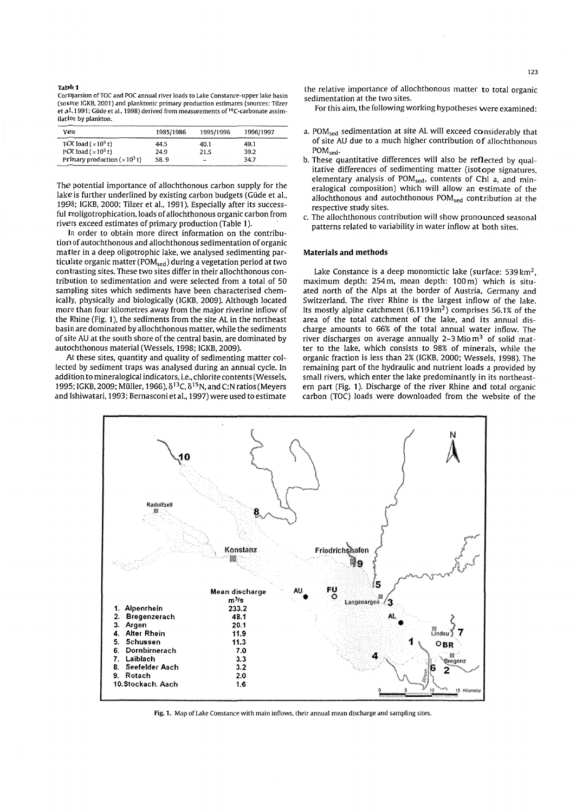#### Ta ble 1

CorTIparsion ofTOC and POC annual river loads to Lake Constance-upper lake basin (source IGKB. 2001) and planktonic primary production estimates (sources: Tilzer et al. 1991; Güde et al., 1998) derived from measurements of <sup>14</sup>C-carbonate assimilation by plankton.

| Year                                   | 1985/1986 | 1995/1996                | 1996/1997 |
|----------------------------------------|-----------|--------------------------|-----------|
| TOC load ( $\times$ 10 <sup>3</sup> t) | 44.5      | 40.1                     | 49.1      |
| POC load $(x10^3 t)$                   | 24.9      | 21.5                     | 39.2      |
| Primary production $(x10^3 t)$         | 58.9      | $\overline{\phantom{a}}$ | 34.7      |

The potential importance of allochthonous carbon supply for the lake is further underlined by existing carbon budgets (Güde et al., 1998; IGKB, 2000; Tilzer et al., 1991). Especially after its successful reoligotrophication. loads of allochthonous organic carbon from rivers exceed estimates of primary production (Table 1).

In order to obtain more direct information on the contribution of autochthonous and allochthonous sedimentation of organic matter in a deep oligotrophic lake. we analysed sedimenting particulate organic matter (POM<sub>sed</sub>) during a vegetation period at two contrasting sites. These two sites differ in their allochthonous contribution to sedimentation and were selected from a total of 50 sampling sites which sediments have been characterised chemically, physically and biologically (IGKB, 2009). Although located more than four kilometres away from the major riverine inflow of the Rhine (Fig. 1). the sediments from the site AL in the northeast basin are dominated by allochthonous matter. while the sediments of site AV at the south shore of the central basin. are dominated by autochthonous material (Wessels. 1998; IGKB. 2009).

At these sites. quantity and quality of sedimenting matter collected by sediment traps was analysed during an annual cycle. In addition to mineralogical indicators, i.e., chlorite contents (Wessels, 1995; IGKB, 2009; Müller, 1966),  $\delta^{13}$ C,  $\delta^{15}$ N, and C:N ratios (Meyers and Ishiwatari. 1993; Bernasconi et al.. 1997) were used to estimate

the relative importance of allochthonous matter to total organic sedimentation at the two sites.

For this aim. the following working hypotheses were examined:

- a. POM<sub>sed</sub> sedimentation at site AL will exceed considerably that of site AV due to a much higher contribution of alIochthonous POM<sub>sed</sub>.
- b. These quantitative differences will also be reflected by qualitative differences of sedimenting matter (isotope signatures. elementary analysis of POM<sub>sed</sub>, contents of Chl a, and mineralogical composition) which will allow an estimate of the allochthonous and autochthonous POM<sub>sed</sub> contribution at the respective study sites.
- c. The allochthonous contribution will show pronounced seasonal patterns related to variability in water inflow at both sites.

#### Materials and methods

Lake Constance is a deep monomictic lake (surface:  $539 \text{ km}^2$ ) maximum depth: 254 m. mean depth: 100 m) which is situated north of the Alps at the border of Austria. Germany and Switzerland. The river Rhine is the largest inflow of the lake. Its mostly alpine catchment  $(6.119 \text{ km}^2)$  comprises 56.1% of the area of the total catchment of the lake. and its annual discharge amounts to 66% of the total annual water inflow. The river discharges on average annually  $2-3$  Mio  $m<sup>3</sup>$  of solid matter to the lake. which consists to 98% of minerals. while the organic fraction is less than 2% (IGKB. 2000; Wessels. 1998). The remaining part of the hydraulic and nutrient loads a provided by small rivers. which enter the lake predominantly in its northeastern part (Fig. 1). Discharge of the river Rhine and total organic carbon (TOC) loads were downloaded from the website of the



Fig. 1. Map of Lake Constance with main inflows. their annual mean discharge and sampling sites.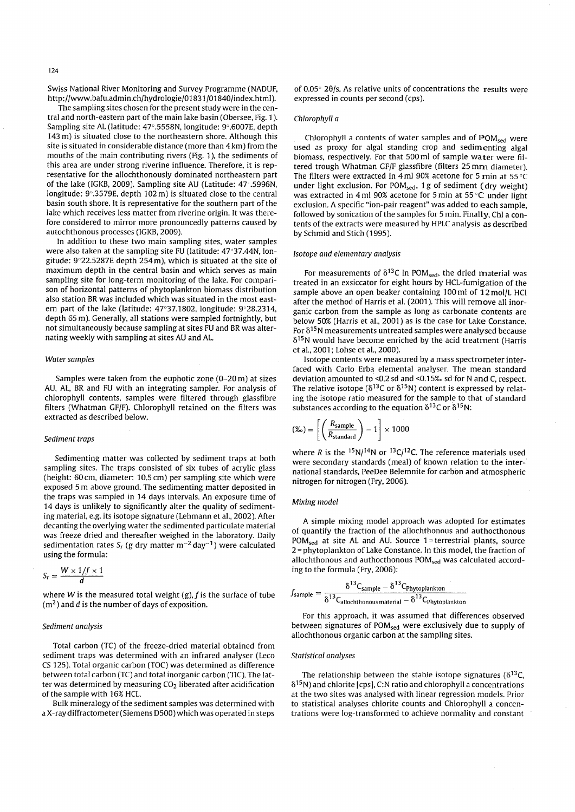Swiss National River Monitoring and Survey Programme (NADUF, http://www.bafu.admin.ch/hydrologie/O 1831 /01840/index.html).

The sampling sites chosen for the present study were in the central and north-eastern part of the main lake basin (Obersee, Fig. 1). Sampling site AL (latitude: 47°.5558N, longitude: 9°.6007E, depth 143 m) is situated close to the northeastern shore. Although this site is situated in considerable distance (more than 4 km) from the mouths of the main contributing rivers (Fig. 1), the sediments of this area are under strong riverine influence. Therefore, it is representative for the allochthonously dominated northeastern part of the lake (IGKB, 2009). Sampling site AU (Latitude: 47.5996N, longitude: 9°.3579E, depth 102 m) is situated close to the central basin south shore. It is representative for the southern part of the lake which receives less matter from riverine origin. It was therefore considered to mirror more pronouncedly patterns caused by autochthonous processes (IGKB, 2009).

In addition to these two main sampling sites, water samples were also taken at the sampling site FU (latitude: 47°37.44N, longitude: 9"22.5287E depth 254 m), which is situated at the site of maximum depth in the central basin and which serves as main sampling site for long-term monitoring of the lake. For comparison of horizontal patterns of phytoplankton biomass distribution also station BR was included which was situated in the most eastern part of the lake (latitude:  $47^{\circ}37.1802$ , longitude:  $9^{\circ}28.2314$ , depth 65 m). Generally, all stations were sampled fortnightly, but not simultaneously because sampling at sites FU and BR was alternating weekly with sampling at sites AU and AL.

#### *Water samples*

Samples were taken from the euphotic zone (0-20 m) at sizes AU, AL, BR and FU with an integrating sampler. For analysis of chlorophyll contents, samples were filtered through glassfibre filters (Whatman GF/F). Chlorophyll retained on the filters was extracted as described below.

## *Sediment traps*

Sedimenting matter was collected by sediment traps at both sampling sites. The traps consisted of six tubes of acrylic glass (height: 60 cm, diameter: 10.5 cm) per sampling site which were exposed 5 m above ground. The sedimenting matter deposited in the traps was sampled in 14 days intervals. An exposure time of 14 days is unlikely to significantly alter the quality of sedimenting material, e.g. its isotope signature (Lehmann et aI., 2002). After decanting the overlying water the sedimented particulate material was freeze dried and thereafter weighed in the laboratory. Daily sedimentation rates  $S_r$  (g dry matter  $m^{-2}$  day<sup>-1</sup>) were calculated using the formula:

$$
S_r = \frac{W \times 1/f \times 1}{d}
$$

where W is the measured total weight  $(g)$ ,  $f$  is the surface of tube  $(m<sup>2</sup>)$  and d is the number of days of exposition.

### *Sediment analysis*

Total carbon (TC) of the freeze-dried material obtained from sediment traps was determined with an infrared analyser (Leco CS 125). Total organic carbon (TOC) was determined as difference between total carbon (TC) and total inorganic carbon (TIC). The latter was determined by measuring  $CO<sub>2</sub>$  liberated after acidification of the sample with 16% HCL.

Bulk mineralogy of the sediment samples was determined with a X-ray diffractometer (Siemens 0500) which was operated in steps of 0.05 $^{\circ}$  20/s. As relative units of concentrations the results were expressed in counts per second (cps).

#### *Chlorophyll a*

Chlorophyll a contents of water samples and of POM<sub>sed</sub> were used as proxy for algal standing crop and sedimenting algal biomass, respectively. For that 500 ml of sample water were filtered trough Whatman GF/F glassfibre (filters 25 mm diameter). The filters were extracted in 4 ml 90% acetone for 5 min at 55°C under light exclusion. For POM<sub>sed</sub>, 1g of sediment (dry weight) was extracted in 4 ml 90% acetone for 5 min at 55 $^{\circ}$ C under light exclusion. A specific "ion-pair reagent" was added to each sample, followed by sonication of the samples for 5 min. Finally, Chi a contents of the extracts were measured by HPLC analysis as described by Schmid and Stich (1995).

#### *Isotope and elementary analysis*

For measurements of  $\delta^{13}$ C in POM<sub>sed</sub>, the dried material was treated in an exsiccator for eight hours by HCL-fumigation of the sample above an open beaker containing 100 ml of 12 mol/L HCl after the method of Harris et al. (2001). This will remove all inorganic carbon from the sample as long as carbonate contents are below 50% (Harris et aI., 2001) as is the case for Lake Constance. For  $\delta^{15}$ N measurements untreated samples were analysed because  $\delta^{15}$ N would have become enriched by the acid treatment (Harris et aI., 2001; Lohse et aI., 2000).

Isotope contents were measured by a mass spectrometer interfaced with Carlo Erba elemental analyser. The mean standard deviation amounted to <0.2 sd and <0.15% sd for N and C, respect. The relative isotope ( $\delta^{13}$ C or  $\delta^{15}$ N) content is expressed by relating the isotope ratio measured for the sample to that of standard substances according to the equation  $\delta^{13}C$  or  $\delta^{15}N$ :

$$
(\%) = \left[ \left( \frac{R_{\text{sample}}}{R_{\text{standard}}} \right) - 1 \right] \times 1000
$$

where R is the  $15N/14N$  or  $13C/12C$ . The reference materials used were secondary standards (meal) of known relation to the international standards, PeeDee Belemnite for carbon and atmospheric nitrogen for nitrogen (Fry, 2006).

#### *Mixing model*

A simple mixing model approach was adopted for estimates of quantify the fraction of the allochthonous and authocthonous  $POM<sub>sed</sub>$  at site AL and AU. Source 1 = terrestrial plants, source 2 = phytoplankton of Lake Constance. In this model, the fraction of allochthonous and authocthonous POM<sub>sed</sub> was calculated according to the formula (Fry, 2006):

$$
f_{sample} = \frac{\delta^{13}C_{sample} - \delta^{13}C_{Phytoplankton}}{\delta^{13}C_{allochthonous material} - \delta^{13}C_{Phytoplankton}}
$$

For this approach, it was assumed that differences observed between signatures of POM<sub>sed</sub> were exclusively due to supply of allochthonous organic carbon at the sampling sites.

#### *Statistical analyses*

The relationship between the stable isotope signatures ( $\delta^{13}C$ ,  $\delta^{15}$ N) and chlorite [cps], C:N ratio and chlorophyll a concentrations at the two sites was analysed with linear regression models. Prior to statistical analyses chlorite counts and Chlorophyll a concentrations were log-transformed to achieve normality and constant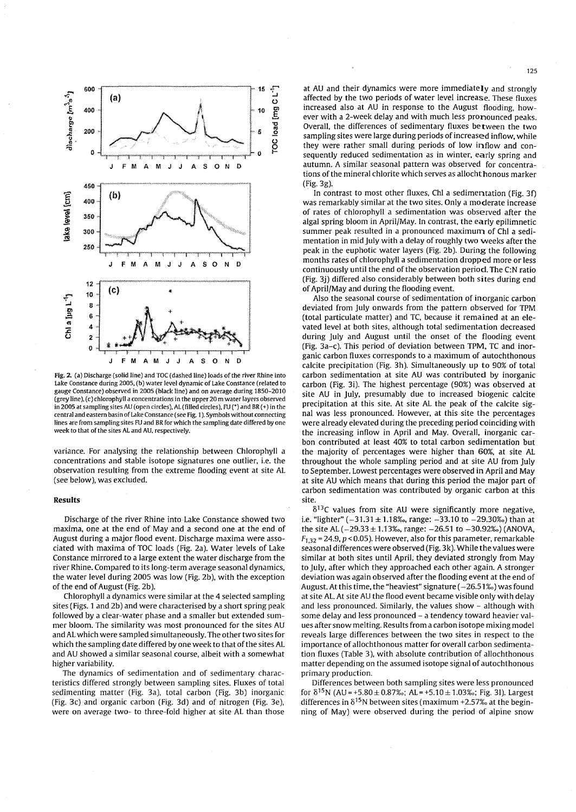

Fig. 2. (a) Discharge (solid line) and TOC (dashed line) loads of the river Rhine into Lake Constance during 2005. (b) water level dynamic of Lake Constance (related to gauge Constance) observed in 2005 (black line) and on average during 1850-2010 (grey line), (c) chlorophyll a concentrations in the upper 20 m water layers observed in 2005 at sampling sites AU (open circles),AL(filled circles), FU (\*) and BR(+) in the central and eastern basin of Lake Constance (see Fig. 1). Symbols without connecting lines are from sampling sites FU and BR for which the sampling date differed by one week to that of the sites AL and AU, respectively.

variance. For analysing the relationship between Chlorophyll a concentrations and stable isotope signatures one outlier, i.e. the observation resulting from the extreme flooding event at site AL (see below), was excluded.

#### **Results**

Discharge of the river Rhine into Lake Constance showed two maxima, one at the end of May and a second one at the end of August during a major flood event. Discharge maxima were associated with maxima of TOC loads (Fig, 2a). Water levels of Lake Constance mirrored to a large extent the water discharge from the river Rhine. Compared to its long-term average seasonal dynamics, the water level during 2005 was low (Fig. 2b), with the exception of the end of August (Fig. 2b).

Chlorophyll a dynamics were similar at the 4 selected sampling sites (Figs. 1 and 2b) and were characterised by a short spring peak followed by a clear-water phase and a smaller but extended summer bloom. The similarity was most pronounced for the sites AU and AL which were sampled simultaneously. The other two sites for which the sampling date differed by one week to that of the sites AL and AU showed a similar seasonal course, albeit with a somewhat higher variability.

The dynamics of sedimentation and of sedimentary characteristics differed strongly between sampling sites. Fluxes of total sedimenting matter (Fig. 3a), total carbon (Fig. 3b) inorganic (Fig. 3c) and organic carbon (Fig. 3d) and of nitrogen (Fig. 3e), were on average two- to three-fold higher at site AL than those

at AU and their dynamics were more immediately and strongly affected by the two periods of water level increase. These fluxes increased also at AU in response to the August flooding, however with a 2-week delay and with much less pronounced peaks. Overall, the differences of sedimentary fluxes between the two sampling sites were large during periods of increased inflow, while they were rather small during periods of low inflow and consequently reduced sedimentation as in winter, early spring and autumn. A similar seasonal pattern was observed for concentrations of the mineral chlorite which serves as allocht honous marker (Fig.3g).

In contrast to most other fluxes, ChI a sedimentation (Fig. 3f) was remarkably similar at the two sites. Only a moderate increase of rates of chlorophyll a sedimentation was observed after the algal spring bloom in April/May. In contrast, the early epilimnetic summer peak resulted in a pronounced maximum of ChI a sedimentation in mid July with a delay of roughly two weeks after the peak in the euphotic water layers (Fig. 2b). During the following months rates of chlorophyll a sedimentation dropped more or less continuously until the end of the observation period. The C:N ratio (Fig. 3j) differed also considerably between both sites during end of April/May and during the flooding event.

Also the seasonal course of sedimentation of inorganic carbon deviated from July onwards from the pattern observed for TPM (total particulate matter) and TC, because it remained at an elevated level at both sites, although total sedimentation decreased during July and August until the onset of the flooding event (Fig. 3a-c). This period of deviation between TPM, TC and inorganic carbon fluxes corresponds to a maximum of autochthonous calcite precipitation (Fig. 3h). Simultaneously up to 90% of total carbon sedimentation at site AU was contributed by inorganic carbon (Fig. 3i). The highest percentage (90%) was observed at site AU in July, presumably due to increased biogenic calcite precipitation at this site. At site AL the peak of the calcite signal was less pronounced. However, at this site the percentages were already elevated during the preceding period coinciding with the increasing inflow in April and May. Overall, inorganic carbon contributed at least 40% to total carbon sedimentation but the majority of percentages were higher than 60%, at site AL throughout the whole sampling period and at site AU from July to September. Lowest percentages were observed in April and May at site AU which means that during this period the major part of carbon sedimentation was contributed by organic carbon at this site

 $\delta^{13}$ C values from site AU were significantly more negative, i.e. "lighter"  $(-31.31 \pm 1.18)$ %, range:  $-33.10$  to  $-29.30$ %) than at the site AL ( $-29.33 \pm 1.13$ %, range:  $-26.51$  to  $-30.92$ %) (ANOVA,  $F_{1,32}$  = 24.9,  $p$  < 0.05). However, also for this parameter, remarkable seasonal differences were observed (Fig. 3k). While the values were similar at both sites until April; they deviated strongly from May to July, after which they approached each other again. A stronger deviation was again observed after the flooding event at the end of August. At this time, the "heaviest" signature  $(-26.51\%)$  was found at site AL. At site AU the flood event became visible only with delay and less pronounced. Similarly, the values show - although with some delay and less pronounced - a tendency toward heavier values after snow melting. Results from a carbon isotope mixing model reveals large differences between the two sites in respect to the importance of allochthonous matter for overall carbon sedimentation fluxes (Table 3), with absolute contribution of allochthonous matter depending on the assumed isotope signal of autochthonous primary production.

Differences between both sampling sites were less pronounced for  $\delta^{15}$ N (AU = +5.80 ± 0.87‰; AL = +5.10 ± 1.03‰; Fig. 31). Largest differences in  $\delta^{15}$ N between sites (maximum +2.57% at the beginning of May) were observed during the period of alpine snow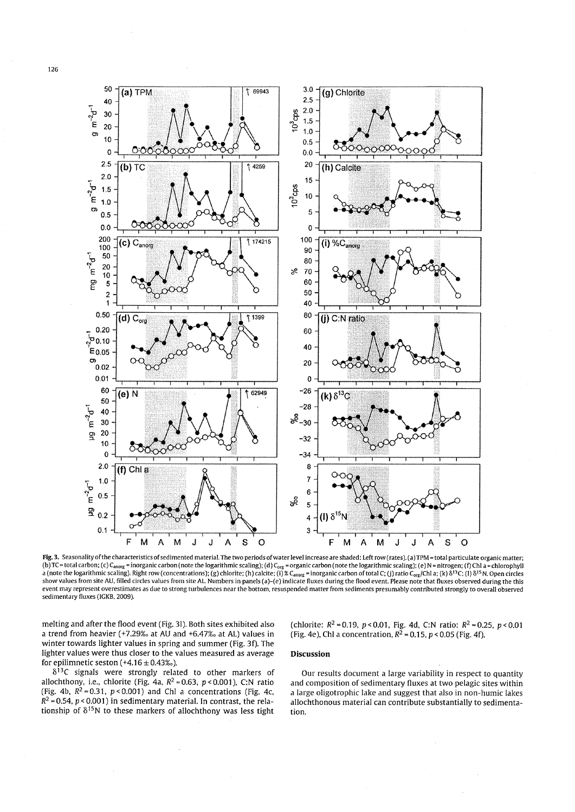

Fig.3. Seasonality ofthe characteristics of sedimented material. The two periods of water level increase are shaded: Left row (rates). (a) TPM = total particulate organic matter; (b) TC = total carbon; (c) C<sub>anorg</sub> = inorganic carbon (note the logarithmic scaling); (d) C<sub>org</sub> = organic carbon (note the logarithmic scaling); (e) N = nitrogen; (f) ChI a = chlorophyll a (note the logarithmic scaling). Right row (concentrations); (g) chlorite; (h) calcite; (i)  $\%$  C<sub>anorg</sub> = inorganic carbon of total C; (j) ratio C<sub>org</sub>/Chl a; (k)  $\delta^{13}C$ ; (l)  $\delta^{15}N$ . Open circles show values from site AU. filled circles values from site AL. Numbers in panels (a)-(e) indicate fluxes during the flood event. Please note that fluxes observed during the this *event* may represent overestimates as due to strong turbulences near the bottom. resuspended matter from sediments presumably contributed strongly to overall observed sedimentary fluxes (lGKB. 2009).

melting and after the flood event (Fig. 31). Both sites exhibited also a trend from heavier (+7.29% $\alpha$  at AU and +6.47% $\alpha$  at AL) values in winter towards lighter values in spring and summer (Fig. 3f). The lighter values were thus closer to the values measured as average for epilimnetic seston  $(+4.16 \pm 0.43\%)$ .

(chlorite:  $R^2 = 0.19$ ,  $p < 0.01$ , Fig. 4d, C:N ratio:  $R^2 = 0.25$ ,  $p < 0.01$ (Fig. 4e), ChI a concentration,  $R^2$  = 0.15,  $p$  < 0.05 (Fig. 4f).

# **Discussion**

 $\delta^{13}$ C signals were strongly related to other markers of allochthony, i.e., chlorite (Fig. 4a,  $R^2 = 0.63$ ,  $p < 0.001$ ), C:N ratio (Fig. 4b,  $R^2 = 0.31$ ,  $p < 0.001$ ) and ChI a concentrations (Fig. 4c,  $R^2$  = 0.54,  $p$  < 0.001) in sedimentary material. In contrast, the relationship of  $\delta^{15}N$  to these markers of allochthony was less tight

Our results document a large variability in respect to quantity and composition of sedimentary fluxes at two pelagic sites within a large oligotrophic lake and suggest that also in non-humic lakes allochthonous material can contribute substantially to sedimentation.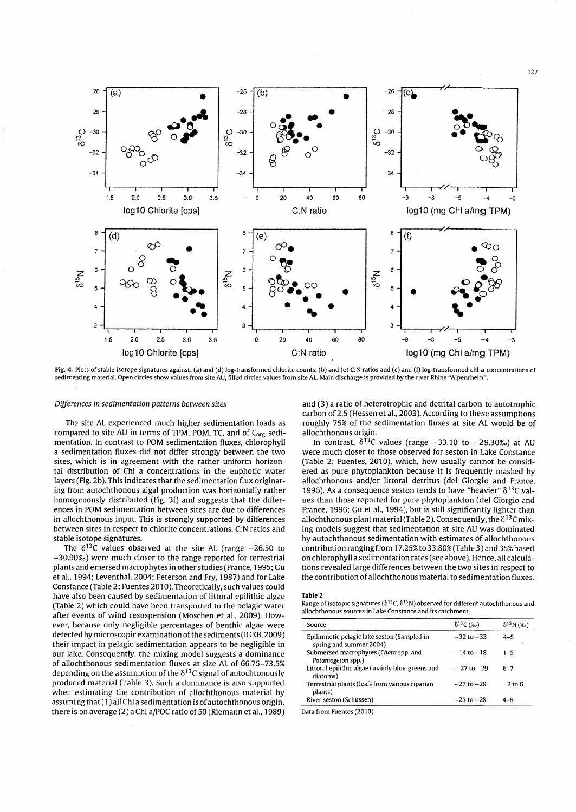

Fig. 4. Plots of stable isotope signatures against: (a) and (d) log-transformed chlorite counts, (b) and (e) C:N ratios and (c) and (f) log-transformed chi a concentrations of sedimenting material. Open circles show values from site AU. filled circles values from site AL. Main discharge is provided by the river Rhine "Alpenrhein",

#### *Differences in sedimentation patterns between sites*

The site AL experienced much higher sedimentation loads as compared to site AU in terms of TPM, POM, TC, and of  $C_{\text{org}}$  sedimentation. In contrast to POM sedimentation fluxes, chlorophyll a sedimentation fluxes did not differ strongly between the two sites, which is in agreement with the rather uniform horizontal distribution of Chi a concentrations in the euphotic water layers (Fig. 2b). This indicates that the sedimentation flux originating from autochthonous algal production was horizontally rather homogenously distributed (Fig. 3f) and suggests that the differences in POM sedimentation between sites are due to differences in allochthonous input. This is strongly supported by differences between sites in respect to chlorite concentrations, C:N ratios and stable isotope signatures.

The  $\delta^{13}$ C values observed at the site AL (range -26.50 to -30.90%) were much closer to the range reported for terrestrial plants and emersed macrophytes in other studies (France, 1995; Gu et al., 1994; Leventhal, 2004; Peterson and Fry, 1987) and for Lake Constance (Table 2; Fuentes 2010). Theoretically, such values could have also been caused by sedimentation of littoral epilithic algae (Table 2) which could have been transported to the pelagic water after events of wind resuspension (Moschen et al., 2009). However, because only negligible percentages of benthic algae were detected by microscopic examination of the sediments (IGKB, 2009) their impact in pelagic sedimentation appears to be negligible in our lake. Consequently, the mixing model suggests a dominance of allochthonous sedimentation fluxes at size AL of 66.75-73.5% depending on the assumption of the  $\delta^{13}$ C signal of autochtonously produced material (Table 3). Such a dominance is also supported when estimating the contribution of allochthonous material by assuming that (1) all Chi a sedimentation is of autochthonous origin, there is on average (2) a Chi a/POC ratio of 50 (Riemann et al., 1989)

and (3) a ratio of heterotrophic and detrital carbon to autotrophic carbon of 2.5 (Hessen et aI., 2003). According to these assumptions roughly 75% of the sedimentation fluxes at site AL would be of allochthonous origin.

In contrast,  $\delta^{13}$ C values (range  $-33.10$  to  $-29.30\%$ ) at AU were much closer to those observed for seston in Lake Constance (Table 2; Fuentes, 2010), which, how usually cannot be considered as pure phytoplankton because it is frequently masked by allochthonous and/or littoral detritus (del Giorgio and France, 1996). As a consequence seston tends to have "heavier"  $\delta^{13}C$  values than those reported for pure phytoplankton (del Giorgio and France, 1996; Gu et al., 1994), but is still significantly lighter than allochthonous plant material (Table 2). Consequently, the  $\delta^{13}$ C mixing models suggest that sedimentation at site AU was dominated by autochthonous sedimentation with estimates of allochthonous contribution ranging from 17.25% to 33.80% (Table 3) and 35% based on chlorophyll a sedimentation rates (see above). Hence, all calculations revealed large differences between the two sites in respect to the contribution of allochthonous material to sedimentation fluxes.

#### Table 2

Range of isotopic signatures ( $\delta^{13}C$ ,  $\delta^{15}N$ ) observed for different autochthonous and allochthonous sources in Lake Constance and its catchment,

| Source                                                                 | $\delta^{13}C($ %o) | $\delta^{15}N$ (%) |
|------------------------------------------------------------------------|---------------------|--------------------|
| Epilimnetic pelagic lake seston (Sampled in<br>spring and summer 2004) | $-32$ to $-33$      | $4 - 5$            |
| Submersed macrophytes (Chara spp. and<br>Potamogeton spp.)             | $-14$ to $-18$      | $1 - 5$            |
| Littoral epilithic algae (mainly blue-greens and<br>diatoms)           | $-27$ to $-29$      | $6 - 7$            |
| Terrestrial plants (leafs from various riparian<br>plants)             | $-27$ to $-29$      | $-2$ to 6          |
| River seston (Schussen)                                                | $-25$ to $-28$      | $4 - 6$            |

Data from Fuentes (2010)

127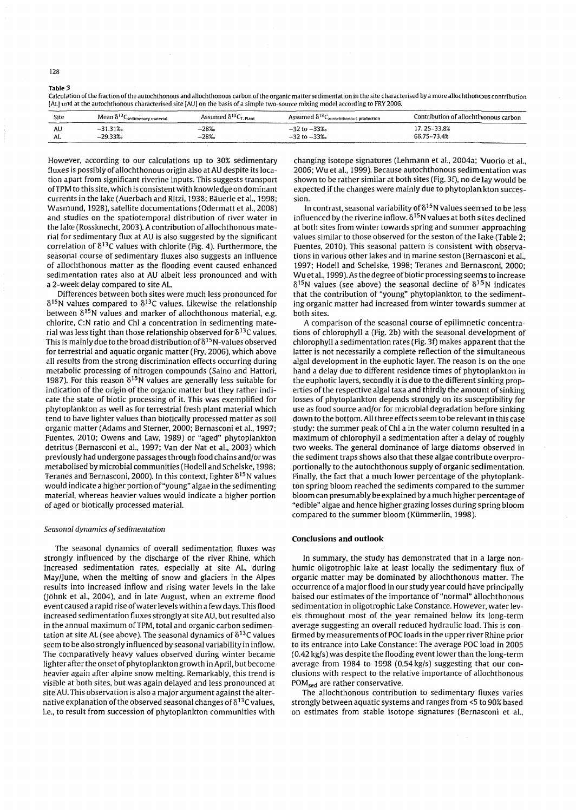128

Table: 3

Calculation of the fraction of the autochthonous and allochthonous carbon of the organic matter sedimentation in the site characterised by a more allochthonous contribution (AL] urld at the autochthonous characterised site [AU] on the basis of a simple two-source mixing model according to FRY 2005.

| Site | Mean $\delta^{13}$ C<br>- Sedimenary material | Assumed $\delta^{13}C_{\text{T. Plant}}$ | Assumed $\delta^{13}$<br>-aurochthonous production- | Contribution of allochthonous carbon |
|------|-----------------------------------------------|------------------------------------------|-----------------------------------------------------|--------------------------------------|
| AU   | $-31.31%$                                     | $-28%$                                   | $-32$ to $-33%$                                     | 7.25-33.8%                           |
| AL.  | $-29.33%$                                     | $-28%$                                   | $-32$ to $-33\%$                                    | 66.75~73.4%                          |

However. according to our calculations up to 30% sedimentary fluxes is possibly of allochthonous origin also at AU despite its location apart from significant riverine inputs. This suggests transport ofTPM to this site. which is consistent with knowledge on dominant currents in the lake (Auerbach and Ritzi, 1938; Bäuerle et al., 1998; Wasmund. 1928). satellite documentations (Odermatt et al.. 2008) and studies on the spatiotemporal distribution of river water in the lake (Rossknecht. 2003). A contribution of allochthonous material for sedimentary flux at AU is' also suggested by the significant correlation of  $\delta^{13}$ C values with chlorite (Fig. 4). Furthermore, the seasonal course of sedimentary fluxes also suggests an influence of allochthonous matter as the flooding event caused enhanced sedimentation rates also at AU albeit less pronounced and with a 2-week delay compared to site AL.

Differences between both sites were much less pronounced for  $\delta^{15}$ N values compared to  $\delta^{13}$ C values. Likewise the relationship between  $\delta^{15}$ N values and marker of allochthonous material, e.g. chlorite. C:N ratio and ChI a concentration in sedimenting material was less tight than those relationship observed for  $\delta^{13}$ C values. This is mainly due to the broad distribution of  $\delta^{15}$  N-values observed for terrestrial and aquatic organic matter (Fry. 2006). which above all results from the strong discrimination effects occurring during metabolic processing of nitrogen compounds (Saino and Hattori. 1987). For this reason  $\delta^{15}$ N values are generally less suitable for indication of the origin of the organic matter but they rather indicate the state of biotic processing of it. This was exemplified for phytoplankton as well as for terrestrial fresh plant material which tend to have lighter values than biotically processed matter as soil organic matter (Adams and Sterner. 2000; Bernasconi et al.. 1997; Fuentes. 2010; Owens and Law. 1989) or "aged" phytoplankton detritus (Bernasconi et al.. 1997; Van der Nat et al.. 2003) which previously had undergone passages through food chains and/or was metabolised by microbial communities (Hodell and Schelske. 1998; Teranes and Bernasconi, 2000). In this context, lighter  $\delta^{15}N$  values would indicate a higher portion of "young " algae in the sedimenting material. whereas heavier values would indicate a higher portion of aged or biotically processed material.

#### *Seasonal dynamics o/sedimentation*

The seasonal dynamics of overall sedimentation fluxes was strongly influenced by the discharge of the river Rhine. which increased sedimentation rates. especially at site AL. during May/June, when the melting of snow and glaciers in the Alpes results into increased inflow and rising water levels in the lake (Jöhnk et al., 2004), and in late August, when an extreme flood event caused a rapid rise of water levels within a few days. This flood increased sedimentation fluxes strongly at site AU. but resulted also in the annual maximum of TPM, total and organic carbon sedimentation at site AL (see above). The seasonal dynamics of  $\delta^{13}$ C values seem to be also strongly influenced by seasonal variability in inflow. The comparatively heavy values observed during winter became lighter after the onset of phytoplankton growth in April. but become heavier again after alpine snow melting. Remarkably. this trend is visible at both sites. but was again delayed and less pronounced at site AU. This observation is also a major argument against the alternative explanation of the observed seasonal changes of  $\delta^{13}$ C values, i.e., to result from succession of phytoplankton communities with changing isotope signatures (Lehmann et al.. 2004a; Vuorio et al.. 2006; Wu et al.. 1999). Because autochthonous sedimentation was shown to be rather similar at both sites (Fig. 3f). no delay would be expected if the changes were mainly due to phytoplankton succession.

In contrast, seasonal variability of  $\delta^{15}N$  values seemed to be less influenced by the riverine inflow.  $\delta^{15}$ N values at both <code>sites</code> declined at both sites from winter towards spring and summer approaching values similar to those observed for the seston of the lake (Table  $2$ ; Fuentes. 2010). This seasonal pattern is consistent with observations in various other lakes and in marine seston (Bernasconi et al.. 1997; Hodell and Schelske. 1998; Teranes and Bernasconi. 2000; Wu et al.. 1999). As the degree of biotic processing seems to increase  $\delta^{15}$ N values (see above) the seasonal decline of  $\delta^{15}$ N indicates that the contribution of "young" phytoplankton to the sedimenting organic matter had increased from winter towards summer at both sites.

A comparison of the seasonal course of epilimnetic concentrations of chlorophyll a (Fig. 2b) with the seasonal development of chlorophyll a sedimentation rates (Fig. 3f) makes apparent that the latter is not necessarily a complete reflection of the simultaneous algal development in the euphotic layer. The reason is on the one hand a delay due to different residence times of phytoplankton in the euphotic layers. secondly it is due to the different sinking properties of the respective algal taxa and thirdly the amount of sinking losses of phytoplankton depends strongly on its susceptibility for use as food source and/or for microbial degradation before sinking down to the bottom. All three effects seem to be relevant in this case study: the summer peak of ChI a in the water column resulted in a maximum of chlorophyll a sedimentation after a delay of roughly two weeks. The general dominance of large diatoms observed in the sediment traps shows also that these algae contribute overproportionally to the autochthonous supply of organic sedimentation. Finally. the fact that a much lower percentage of the phytoplankton spring bloom reached the sediments compared to the summer bloom can presumably be explained by a much higher percentage of "edible" algae and hence higher grazing losses during spring bloom compared to the summer bloom (Kiimmerlin. 1998).

#### **Conclusions and outlook**

In summary. the study has demonstrated that in a large nonhumic oligotrophic lake at least locally the sedimentary flux of organic matter may be dominated by allochthonous matter. The occurrence of a major flood in our study year could have principally baised our estimates of the importance of "normal" allochthonous sedimentation in oligotrophic Lake Constance. However. water levels throughout most of the year remained below its long-term average suggesting an overall reduced hydraulic load. This is confirmed by measurements ofPOC loads in the upper river Rhine prior to its entrance into Lake Constance: The average POC load in 2005 (0.42 kg/s) was despite the flooding event lower than the long-term average from 1984 to 1998 (0.54kg/s) suggesting that our conclusions with respect to the relative importance of allochthonous POM<sub>sed</sub> are rather conservative.

The allochthonous contribution to sedimentary fluxes varies strongly between aquatic systems and ranges from <5 to 90% based on estimates from stable isotope signatures (Bernasconi et al..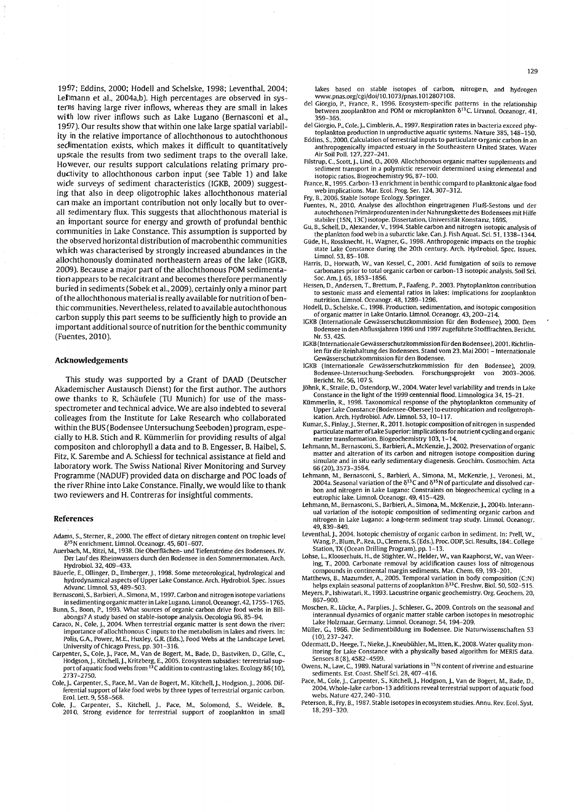1997; Eddins, 2000; Hodell and Schelske, 1998; Leventhal, 2004; Lellmann et al., 2004a,b). High percentages are observed in systerns having large river inflows, whereas they are small in lakes with low river inflows such as Lake Lugano (Bernasconi et aI., 1997). Our results show that within one lake large spatial variability in the relative importance of allochthonous to autochthonous sedimentation exists, which makes it difficult to quantitatively upscale the results from two sediment traps to the overall lake. However, our results support calculations relating primary productivity to allochthonous carbon input (see Table 1) and lake wide surveys of sediment characteristics (IGKB, 2009) suggesting that also in deep oligotrophic lakes allochthonous material can make an important contribution not only locally but to overall sedimentary flux. This suggests that allochthonous material is an important source for energy and growth of profundal benthic communities in Lake Constance. This assumption is supported by the observed horizontal distribution of macrobenthic communities which was characterised by strongly increased abundances in the allochthonously dominated northeastern areas of the lake (IGKB, 2009). Because a major part of the allochthonous POM sedimentationappears to be recalcitrant and becomes therefore permanently buried in sediments (Sobek et aI., 2009), certainly only a minor part of the allochthonous material is really available for nutrition of benthie communities. Nevertheless, related to available autochthonous carbon supply this part seems to be sufficiently high to provide an important additional source of nutrition for the benthic community (Fuentes, 2010).

#### **Acknowledgements**

This study was supported by a Grant of DAAD (Deutscher Akademischer Austausch Dienst) for the first author. The authors owe thanks to R. Schaufele (TU Munich) for use of the massspectrometer and technical advice. We are also indebted to several colleages from the Institute for Lake Research who collaborated within the BUS (Bodensee Untersuchung Seeboden) program, especially to H.B. Stich and R. Kiimmerlin for providing results of algal compositon and chlorophyll a data and to B. Engesser, B. Haibel, S. Fitz, K. Sarembe and A. Schiessl for technical assistance at field and laboratory work. The Swiss National River Monitoring and Survey Programme (NADUF) provided data on discharge and POC loads of the river Rhine into Lake Constance. Finally, we would like to thank two reviewers and H. Contreras for insightful comments.

#### **References**

- Adams. S., Sterner, R.. 2000. The effect of dietary nitrogen content on trophic level  $\delta^{15}$ N enrichment. Limnol. Oceanogr. 45, 601-607.
- Auerbach. M .• Ritzi. M .• 1938. Die Oberflachen- und Tiefenstriime des Bodensees. IV. Der Lauf des Rheinwassers durch den Bodensee in den Sommermonaten. Arch. Hydrobiol. 32. 409-433.
- Bäuerle, E., Ollinger, D., Ilmberger, J., 1998. Some meteorological, hydrological and hydrodynamical aspects of Upper Lake Constance. Arch. Hydrobiol. Spec. Issues Advanc. Limnol. 53. 489-503.
- Bernasconi, S., Barbieri, A., Simona, M., 1997. Carbon and nitrogen isotope variations in sedimentingorganic matter in Lake Lugano. Limnol. Oceanogr. 42. 1755-1765. Bunn. S .. Boon. P .• 1993. What sources of organic carbon drive food webs in BiII-
- abongs? A study based on stable-isotope analysis. Oecologia 96. 85-94.
- Caraco. *N .•* Cole, J.. 2004. When terrestrial organic matter is sent down the river: importance of allochthonous C inputs to the metabolism in lakes and rivers. In: Polis, G.A., Power, M.E., Huxley, G.R. (Eds.), Food Webs at the Landscape Level.
- University of Chicago Press, pp. 301–316.<br>Carpenter, S., Cole, J., Pace, M., Van de Bogert, M., Bade, D., Bastviken, D., Gille, C.,<br>Hodgson, J., Kitchell, J., Kritzberg, E., 2005. Ecosystem subsidies: terrestrial support o 2737-2750.
- Cole. L. Carpenter. S., Pace. M., Van de Bogert. M., Kitchell. L. Hodgson. L. 2006. Differential support of lake food webs by three types of terrestrial organic carbon. Ecol. Lett. 9. 558-568.
- Cole, J., Carpenter, S., Kitchell, J., Pace, M., Solomond, S., Weidele, B., 2010. Strong evidence for terrestrial support of zooplankton in small

lakes based on stable isotopes of carbon, nitrogen, and hydrogen www.pnas.org/cgi/doi/10.I073/pnas.l012807108.

- del Giorgio. P., France. R., 1996. Ecosystem-specific patterns in the relationship between zooplankton and POM or microplankton  $\delta^{13}$ C. Lirnnol. Oceanogr. 41. 359-365.
- del Giorgio, P., Cole, J., Cimbleris, A., 1997. Respiration rates in bacteria exceed phytoplankton production in unproductive aquatic systems. Nature 385.148-150. Eddins. S., 2000. Calculation of terrestrial inputs to particulate o rganic carbon in an
- anthropogenically impacted estuary in the Southeastern United States. Water Air Soil Poll. 127.227-241. Filstrup. C., Scott. J., Lind. O., 2009. Allochthonous organic matter supplements and
- sediment transport in a polymictic reservoir determined using elemental and isotopic ratios. Biogeochemistry 96.87-100.

France. R., 1995. Carbon-13 enrichment in benthic compard to planktonic algae food web implications. Mar. Ecol. Prog. Ser. 124.307-312. Fry, B., 2006. Stable Isotope Ecology. Springer.

- Fuentes, N., 2010. Analyse des allochthon eingetragenen Fluß-Sestons und der autochthonen Primarproduzenten in der Nahrungskette des Bodensees mit Hilfe stabiler (15N, 13C) isotope. Dissertation. Universität Konstanz, 169S.
- Gu. B., Schell. D., Alexander. V., 1994. Stable carbon and nitrogen isotopic analysis of the plankton food web in a subarctic lake. Can. J. Fish Aquat. Sci. 51, 1338-1344.
- Güde, H., Rossknecht, H., Wagner, G., 1998. Anthropogenic impacts on the trophic state Lake Constance during the 20th century. Arch. Hydrobiol. Spec. Issues. Limnol. 53. 85-108.
- Harris, D., Horwath. W., van Kessel, C., 2001. Acid fumigation of soils to remove carbonates prior to total organic carbon or carbon-13 isotopic analysis. Soil Sci. Soc. Am.J. 65.1853-1856.
- Hessen, D., Andersen, T., Brettum, P., Faafeng, P., 2003. Phytoplankton contribution to sestonic mass and elemental ratios in lakes: implications for zooplankton nutrition. Limnol. Oceanogr.48. 1289-1296.
- Hodell, D., Schelske, C., 1998. Production, sedimentation, and isotopic composition of organic matter in Lake Ontario. Umnol. Oceanogr. 43. 200-214.
- lGKB (Internationale Gewasserschutzkommission fiir den Bodensee). 2000. Dem Bodensee in den Abflussjahren 1996 und 1997 zugefiihrte Stofffrachten. Bericht. Nr.53.42S.
- IGKB (Internationale Gewasserschutzkommission fiirden Bodensee). 2001. Richtlinien fiir die Reinhaltung des Bodensees. Stand vom 23. Mai 2001 -Internationale Gewasserschutzkommission fiir den Bodensee.
- lGKB (Internationale Gewasserschutzkommission fiir den Bodensee). 2009. Bodensee-Untersuchung-Seeboden. Bericht. Nr. 56. 107 S.
- Jiihnk. K.. Straile. D .. Ostendorp. W .• 2004. Water level variability and trends in Lake Constance in the light of the 1999 centennial flood. Umnologica 34.15-21.
- Kümmerlin, R., 1998. Taxonomical response of the phytoplankton community of Upper Lake Constance (Bodensee-Obersee) to eutrophication and reoligotrophication. Arch. Hydrobiol. Adv. Umnol. 53.10-117.
- Kumar, S., Finlay, J., Sterner, R., 2011. Isotopic composition of nitrogen in suspended<br>particulate matter of Lake Superior: implications for nutrient cycling and organic matter transformation. Biogeochemistry 103. 1-14.
- Lehmann, M., Bernasconi, S., Barbieri, A., McKenzie, J., 2002. Preservation of organic matter and alteration of its carbon and nitrogen isotope composition during simulate and in situ early sedimentary diagenesis. Geochim. Cosmochim. Acta 66 (20). 3573-3584.
- Lehmann. M.. Bernasconi, S., Barbieri, A., Simona, M., McKenzie, J., Veronesi, M.  $2004$ a. Seasonal variation of the  $\delta^{13}C$  and  $\delta^{15}N$  of particulate and dissolved carbon and nitrogen in Lake Lugano: Constraints on biogeochemical cycling in a eutrophic lake. Umnol. Oceanogr. 49. 415-429. Lehmann. M .. Bernasconi. S .. Barbieri. A .. Simona. M .. McKenzie. j.. 2004b. Interann-
- ual variation of the isotopic composition of sedimenting organic carbon and nitrogen in Lake Lugano: a long-term sediment trap study. Limnol. Oceanogr. 49. 839-849.
- Leventhal, J., 2004. Isotopic chemistry of organic carbon in sediment. In: Prell, W., Wang, P., Blum. P., Rea. D., Clemens, S. (Eds.), Proc. ODP, Sci. Results, 184:. College
- Station, TX (Ocean Drilling Program), pp. 1–13.<br>Lohse, L., Klooserhuis, H., de Stighter, W., Helder, W., van Raaphorst, W., van Weering, T., 2000. Carbonate removal by acidification causes loss of nitrogenous compounds in continental margin sediments. Mar. Chem. 69.193-201.
- Matthews, B., Mazumder, A., 2005. Temporal variation in body composition (C:N) helps explain seasonal patterns of zooplankton  $\delta^{13}$ C. Freshw. Biol. 50, 502-515. Meyers. P., Ishiwatari. R., 1993. Lacustrine organic geochemistry. Org. Geochem. 20.
- 867-900. Moschen. R.. Lücke. A.. Parplies. J.. Schleser. G., 2009. Controls on the seasonal and
- interannual dynamics of organic matter stable carbon isotopes in mesotrophic Lake Holzmaar. Germany. Umnol. Oceanogr. 54. 194-209.
- MiiIler. G .• 1966. Die Sedimentbildung im Bodensee. Die Naturwissenschaften 53 (10).237-247.
- Odermatt, D., Heege, T., Nieke, J., Kneubühler, M., Itten, K., 2008. Water quality monitoring for Lake Constance with a physically based algorithm for MERIS data. Sensors 8 (8). 4582-4599.
- Owens, N., Law, C., 1989. Natural variations in <sup>15</sup>N content of riverine and estuarine sediments. Est. Coast. Shelf Sci. 28, 407-416.
- Pace. M., Cole. J., Carpenter. S., Kitchell. J., Hodgson. J., Van de Bogert. M., Bade. D. 2004. Whole-lake carbon-13 additions reveal terrestrial support of aquatic food webs. Nature 427. 240-310.
- Peterson, B., Fry, B., 1987. Stable isotopes in ecosystem studies. Annu. Rev. Ecol. Syst. 18.293-320.